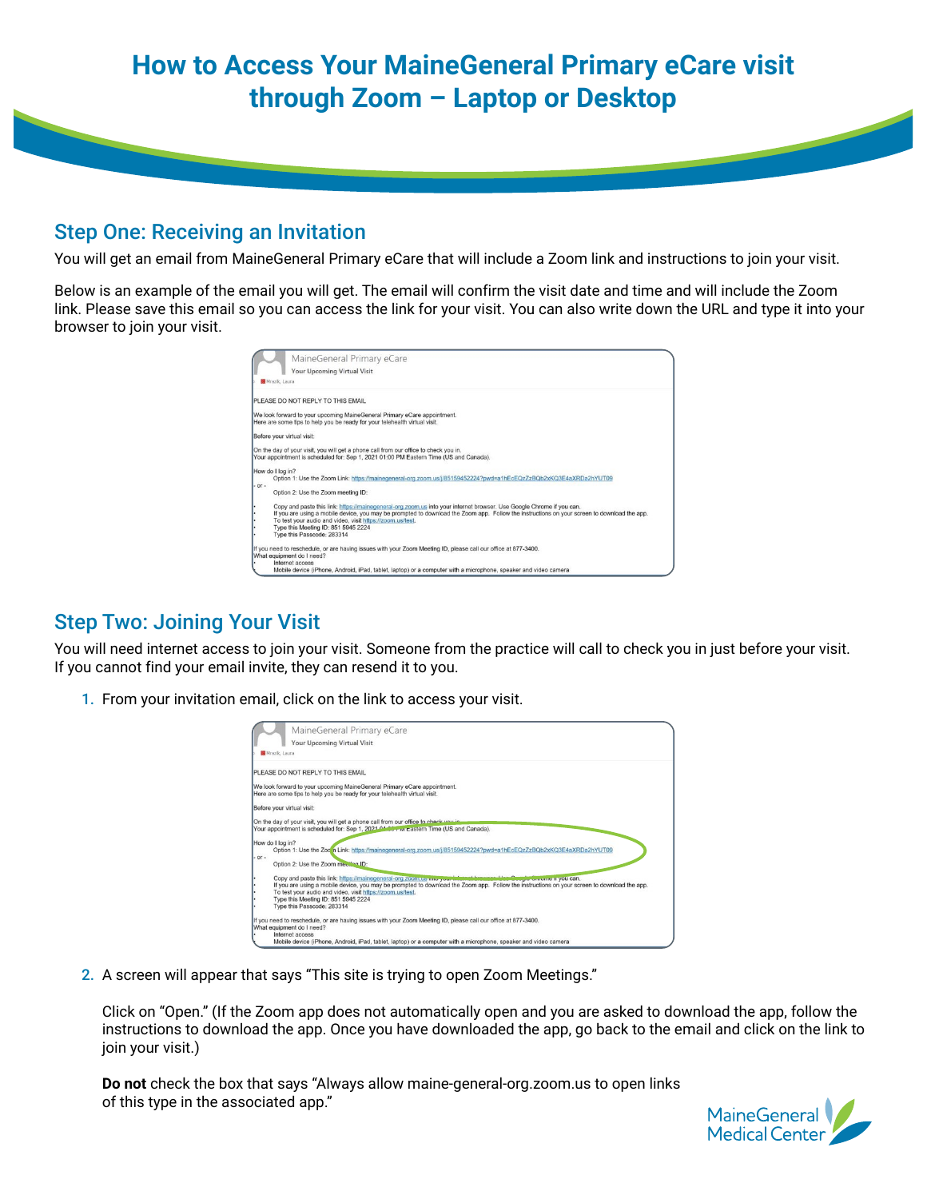## **How to Access Your MaineGeneral Primary eCare visit through Zoom – Laptop or Desktop**

## Step One: Receiving an Invitation

You will get an email from MaineGeneral Primary eCare that will include a Zoom link and instructions to join your visit.

Below is an example of the email you will get. The email will confirm the visit date and time and will include the Zoom link. Please save this email so you can access the link for your visit. You can also write down the URL and type it into your browser to join your visit.

|         | MaineGeneral Primary eCare                                                                                                                  |
|---------|---------------------------------------------------------------------------------------------------------------------------------------------|
|         | Your Upcoming Virtual Visit                                                                                                                 |
|         |                                                                                                                                             |
|         | <b>M</b> Mrazik, Laura                                                                                                                      |
|         | PLEASE DO NOT REPLY TO THIS EMAIL                                                                                                           |
|         | We look forward to your upcoming MaineGeneral Primary eCare appointment.                                                                    |
|         | Here are some tips to help you be ready for your telehealth virtual visit.                                                                  |
|         | Before your virtual visit:                                                                                                                  |
|         | On the day of your visit, you will get a phone call from our office to check you in.                                                        |
|         | Your appointment is scheduled for: Sep 1, 2021 01:00 PM Eastern Time (US and Canada).                                                       |
|         | How do I log in?                                                                                                                            |
|         | Option 1: Use the Zoom Link: https://mainegeneral-org.zoom.us/j/85159452224?pwd=a1hEcEQzZzBQb2xKQ3E4aXRDa2hYUT09                            |
| $-OT -$ |                                                                                                                                             |
|         | Option 2: Use the Zoom meeting ID:                                                                                                          |
| ٠       | Copy and paste this link: https://mainegeneral-org.zoom.us into your internet browser. Use Google Chrome if you can.                        |
| Ŀ       | If you are using a mobile device, you may be prompted to download the Zoom app. Follow the instructions on your screen to download the app. |
| ۰       | To test your audio and video, visit https://zoom.us/test.                                                                                   |
| ٠       | Type this Meeting ID: 851 5945 2224                                                                                                         |
|         | Type this Passcode: 283314                                                                                                                  |
|         | If you need to reschedule, or are having issues with your Zoom Meeting ID, please call our office at 877-3400.                              |
|         | What equipment do I need?                                                                                                                   |
|         | Internet access                                                                                                                             |
|         | Mobile device (iPhone, Android, iPad, tablet, laptop) or a computer with a microphone, speaker and video camera                             |

## Step Two: Joining Your Visit

You will need internet access to join your visit. Someone from the practice will call to check you in just before your visit. If you cannot find your email invite, they can resend it to you.

1. From your invitation email, click on the link to access your visit.

|      | MaineGeneral Primary eCare                                                                                                                  |
|------|---------------------------------------------------------------------------------------------------------------------------------------------|
|      | Your Upcoming Virtual Visit                                                                                                                 |
|      | <b>M</b> Mrazik, Laura                                                                                                                      |
|      | PLEASE DO NOT REPLY TO THIS EMAIL                                                                                                           |
|      | We look forward to your upcoming MaineGeneral Primary eCare appointment.                                                                    |
|      | Here are some tips to help you be ready for your telehealth virtual visit.                                                                  |
|      | Before your virtual visit:                                                                                                                  |
|      | On the day of your visit, you will get a phone call from our office to check you in                                                         |
|      | Your appointment is scheduled for: Sep 1, 2021 AM 207 W Eastern Time (US and Canada).                                                       |
|      | How do I log in?                                                                                                                            |
|      | Option 1: Use the Zoom Link: https://mainegeneral-org.zoom.us/j/85159452224?pwd=a1hEcEQzZzBQb2xKQ3E4aXRDa2hYUT09                            |
| $-0$ | Option 2: Use the Zoom meeting ID:                                                                                                          |
|      | Copy and paste this link: https://mainegeneral-org.zoom.us moryour internet base<br>brewssalded Geogle Chrome it you can.                   |
|      | If you are using a mobile device, you may be prompted to download the Zoom app. Follow the instructions on your screen to download the app. |
|      | To test your audio and video, visit https://zoom.us/test.                                                                                   |
|      | Type this Meeting ID: 851 5945 2224                                                                                                         |
|      | Type this Passcode: 283314                                                                                                                  |
|      | If you need to reschedule, or are having issues with your Zoom Meeting ID, please call our office at 877-3400.                              |
|      | What equipment do I need?                                                                                                                   |
|      | Internet access<br>Mobile device (iPhone, Android, iPad, tablet, lanton) or a computer with a microphone, speaker and video camera          |

2. A screen will appear that says "This site is trying to open Zoom Meetings."

Click on "Open." (If the Zoom app does not automatically open and you are asked to download the app, follow the instructions to download the app. Once you have downloaded the app, go back to the email and click on the link to join your visit.)

**Do not** check the box that says "Always allow maine-general-org.zoom.us to open links of this type in the associated app."

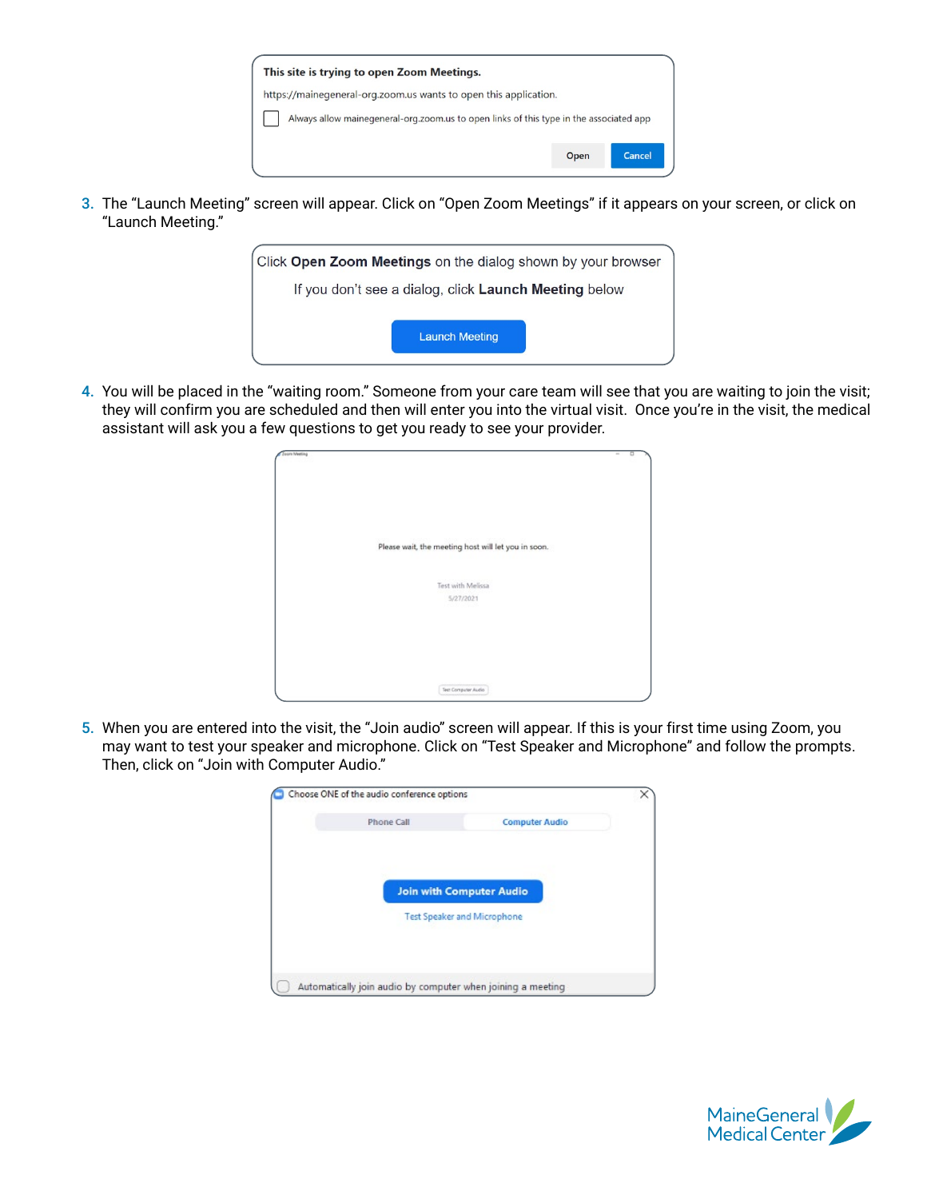| This site is trying to open Zoom Meetings.                                             |      |               |  |  |
|----------------------------------------------------------------------------------------|------|---------------|--|--|
| https://mainegeneral-org.zoom.us wants to open this application.                       |      |               |  |  |
| Always allow mainegeneral-org.zoom.us to open links of this type in the associated app |      |               |  |  |
|                                                                                        | Open | <b>Cancel</b> |  |  |

3. The "Launch Meeting" screen will appear. Click on "Open Zoom Meetings" if it appears on your screen, or click on "Launch Meeting."



4. You will be placed in the "waiting room." Someone from your care team will see that you are waiting to join the visit; they will confirm you are scheduled and then will enter you into the virtual visit. Once you're in the visit, the medical assistant will ask you a few questions to get you ready to see your provider.

| <b>Zoorn Meeting</b> |                                                     | $\Box$<br>$\sim$ |
|----------------------|-----------------------------------------------------|------------------|
|                      |                                                     |                  |
|                      |                                                     |                  |
|                      |                                                     |                  |
|                      |                                                     |                  |
|                      | Please wait, the meeting host will let you in soon. |                  |
|                      |                                                     |                  |
|                      | Test with Melissa                                   |                  |
|                      | 5/27/2021                                           |                  |
|                      |                                                     |                  |
|                      |                                                     |                  |
|                      |                                                     |                  |
|                      |                                                     |                  |
|                      | Tech Computer Audio                                 |                  |

5. When you are entered into the visit, the "Join audio" screen will appear. If this is your first time using Zoom, you may want to test your speaker and microphone. Click on "Test Speaker and Microphone" and follow the prompts. Then, click on "Join with Computer Audio."

| Phone Call | <b>Computer Audio</b>              |  |
|------------|------------------------------------|--|
|            |                                    |  |
|            |                                    |  |
|            |                                    |  |
|            | <b>Join with Computer Audio</b>    |  |
|            | <b>Test Speaker and Microphone</b> |  |
|            |                                    |  |
|            |                                    |  |
|            |                                    |  |